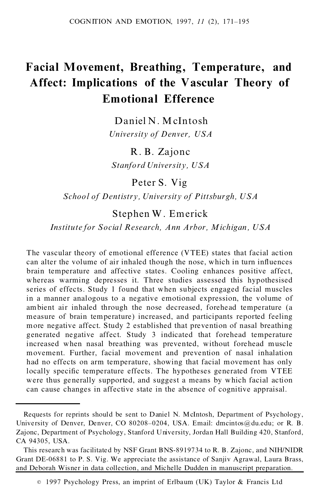# **Facial Movement, Breathing, Temperature, and Affect: Implications of the Vascular Theory of Emotional Efference**

Daniel N. McIntosh *University of Denver, USA*

R. B. Zajonc *Stanford University, USA*

Peter S. Vig

*School of Dentistry, University of Pittsburgh, USA*

# Stephen W. Emerick

*Institute for Social Research, Ann Arbor, Michigan , USA*

The vascular theory of emotional efference (VTEE) states that facial action can alter the volume of air inhaled though the nose, which in turn influences brain temperature and affective states. Cooling enhances positive affect, whereas warming depresses it. Three studies assessed this hypothesised series of effects. Study 1 found that when subjects engaged facial muscles in a manner analogous to a negative emotional expression, the volume of ambient air inhaled through the nose decreased, forehead temperature (a measure of brain temperature) increased, and participants reported feeling more negative affect. Study 2 established that prevention of nasal breathing generated negative affect. Study 3 indicated that forehead temperature increased when nasal breathing was prevented, without forehead muscle movement. Further, facial movement and prevention of nasal inhalation had no effects on arm temperature, showing that facial movement has only locally specific temperature effects. The hypotheses generated from VTEE were thus generally supported, and suggest a means by which facial action can cause changes in affective state in the absence of cognitive appraisal.

Requests for reprints should be sent to Daniel N. McIntosh, Department of Psychology, University of Denver, Denver, CO 80208-0204, USA. Email: dmcintos@du.edu; or R. B. Zajonc, Department of Psychology, Stanford University, Jordan Hall Building 420, Stanford, CA 94305, USA.

This research was facilitated by NSF Grant BNS-8919734 to R. B. Zajonc, and NIH/NIDR Grant DE-06881 to P. S. Vig. We appreciate the assistance of Sanjiv Agrawal, Laura Brass, and Deborah Wisner in data collection, and Michelle Dudden in manuscript preparation.

 $\degree$  1997 Psychology Press, an imprint of Erlbaum (UK) Taylor & Francis Ltd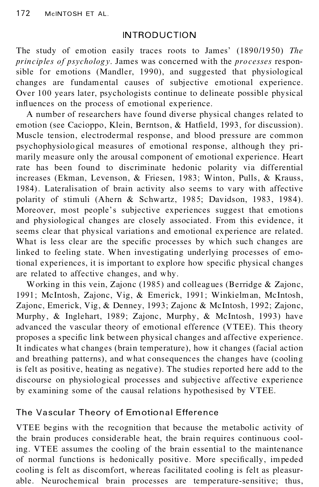## INTRODUCTION

The study of emotion easily traces roots to James' (1890/1950) *The principles of psychology*. James was concerned with the *processes* responsible for emotions (Mandler, 1990), and suggested that physiological changes are fundamental causes of subjective emotional experience. Over 100 years later, psychologists continue to delineate possible physical influences on the process of emotional experience.

A number of researchers have found diverse physical changes related to emotion (see Cacioppo, Klein, Berntson, & Hatfield, 1993, for discussion). Muscle tension, electrodermal response, and blood pressure are common psychophysiological measures of emotional response, although they pri marily measure only the arousal component of emotional experience. Heart rate has been found to discriminate hedonic polarity via differential increases (Ekman, Levenson, & Friesen, 1983; Winton, Pulls, & Krauss, 1984). Lateralisation of brain activity also seems to vary with affective polarity of stimuli (Ahern & Schwartz, 1985; Davidson, 1983, 1984). Moreover, most people's subjective experiences suggest that emotions and physiological changes are closely associated. From this evidence, it seems clear that physical variations and emotional experience are related. What is less clear are the specific processes by which such changes are linked to feeling state. When investigating underlying processes of emotional experiences, it is important to explore how specific physical changes are related to affective changes, and why.

Working in this vein, Zajonc (1985) and colleagues (Berridge & Zajonc, 1991; McIntosh, Zajonc, Vig, & Emerick, 1991; Winkielman, McIntosh, Zajonc, Emerick, Vig, & Denney, 1993; Zajonc & McIntosh, 1992; Zajonc, Murphy, & Inglehart, 1989; Zajonc, Murphy, & McIntosh, 1993) have advanced the vascular theory of emotional efference (VTEE). This theory proposes a specific link between physical changes and affective experience. It indicates what changes (brain temperature), how it changes (facial action and breathing patterns), and what consequences the changes have (cooling is felt as positive, heating as negative). The studies reported here add to the discourse on physiological processes and subjective affective experience by examining some of the causal relations hypothesised by VTEE.

# The Vascular Theory of Em otional Efference

VTEE begins with the recognition that because the metabolic activity of the brain produces considerable heat, the brain requires continuous cooling. VTEE assumes the cooling of the brain essential to the maintenance of normal functions is hedonically positive. More specifically, impeded cooling is felt as discomfort, whereas facilitated cooling is felt as pleasur able. Neurochemical brain processes are temperature-sensitive; thus,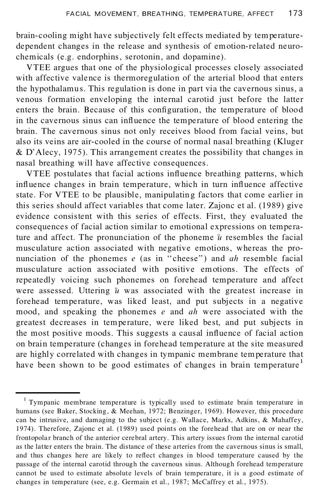brain-cooling might have subjectively felt effects mediated by temperature dependent changes in the release and synthesis of emotion-related neuro chemicals (e.g. endorphins, serotonin, and dopamine).

VTEE argues that one of the physiological processes closely associated with affective valence is thermoregulation of the arterial blood that enters the hypothalamus. This regulation is done in part via the cavernous sinus, a venous formation enveloping the internal carotid just before the latter enters the brain. Because of this configuration, the temperature of blood in the cavernous sinus can influence the temperature of blood entering the brain. The cavernous sinus not only receives blood from facial veins, but also its veins are air-cooled in the course of normal nasal breathing (Kluger & D' Alecy, 1975). This arrangement creates the possibility that changes in nasal breathing will have affective consequences.

VTEE postulates that facial actions influence breathing patterns, which influence changes in brain temperature, which in turn influence affective state. For VTEE to be plausible, manipulating factors that come earlier in this series should affect variables that come later. Zajonc et al. (1989) give evidence consistent with this series of effects. First, they evaluated the consequences of facial action similar to emotional expressions on temperature and affect. The pronunciation of the phoneme *u* resembles the facial musculature action associated with negative emotions, whereas the pro nunciation of the phonemes *e* (as in "cheese") and *ah* resemble facial musculature action associated with positive emotions. The effects of repeatedly voicing such phonemes on forehead temperature and affect were assessed. Uttering  $\ddot{u}$  was associated with the greatest increase in forehead temperature, was liked least, and put subjects in a negative mood, and speaking the phonemes *e* and *ah* were associated with the greatest decreases in temperature, were liked be st, and put subjects in the most positive moods. This suggests a causal influence of facial action on brain temperature (changes in forehead temperature at the site measured are highly correlated with changes in tympanic membrane temperature that have been shown to be good estimates of changes in brain temperature<sup>1</sup>

<sup>&</sup>lt;sup>1</sup> Tympanic membrane temperature is typically used to estimate brain temperature in humans (see Baker, Stocking, & Meehan, 1972; Benzinger, 1969). However, this procedure can be intrusive, and damaging to the subject (e.g. Wallace, Marks, Adkins, & Mahaffey, 1974). Therefore, Zajonc et al. (1989) used points on the forehead that are on or near the frontopolar branch of the anterior cerebral artery. This artery issues from the internal carotid as the latter enters the brain. The distance of these arteries from the cavernous sinus is small, and thus changes here are likely to reflect changes in blood temperature caused by the passage of the internal carotid through the cavernous sinus. Although forehead temperature cannot be used to estimate absolute levels of brain temperature, it is a good estimate of changes in temperature (see, e.g. Germain et al., 1987; McCaffrey et al., 1975).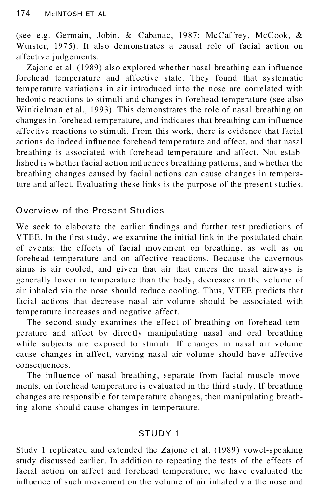(see e.g. Germain, Jobin, & Cabanac, 1987; McCaffrey, McCook, & Wurster, 1975). It also demonstrates a causal role of facial action on affective judgements.

Zajonc et al. (1989) also explored whether nasal breathing can influence forehead temperature and affective state. They found that systematic temperature variations in air introduced into the nose are correlated with hedonic reactions to stimuli and changes in forehead temperature (see also Winkielman et al., 1993). This demonstrates the role of nasal breathing on changes in forehead temperature, and indicates that breathing can influence affective reactions to stimuli. From this work, there is evidence that facial actions do indeed influence forehead temperature and affect, and that nasal breathing is associated with forehead temperature and affect. Not established is whether facial action influences breathing patterns, and whether the breathing changes caused by facial actions can cause changes in temperature and affect. Evaluating these links is the purpose of the present studies.

# Overview of the Present Studies

We seek to elaborate the earlier findings and further test predictions of VTEE. In the first study, we examine the initial link in the postulated chain of events: the effects of facial movement on breathing, as well as on forehead temperature and on affective reactions. Because the cavernous sinus is air cooled, and given that air that enters the nasal airways is generally lower in temperature than the body, decreases in the volume of air inhaled via the nose should reduce cooling. Thus, VTEE predicts that facial actions that decrease nasal air volume should be associated with temperature increases and negative affect.

The second study examines the effect of breathing on forehead tem perature and affect by directly manipulating nasal and oral breathing while subjects are exposed to stimuli. If changes in nasal air volume cause changes in affect, varying nasal air volume should have affective consequences.

The influence of nasal breathing, separate from facial muscle movements, on forehead temperature is evaluated in the third study. If breathing changes are responsible for temperature changes, then manipulating breathing alone should cause changes in temperature.

# STUDY 1

Study 1 replicated and extended the Zajonc et al. (1989) vowel-speaking study discussed earlier. In addition to repeating the tests of the effects of facial action on affect and forehead temperature, we have evaluated the influence of such movement on the volume of air inhaled via the nose and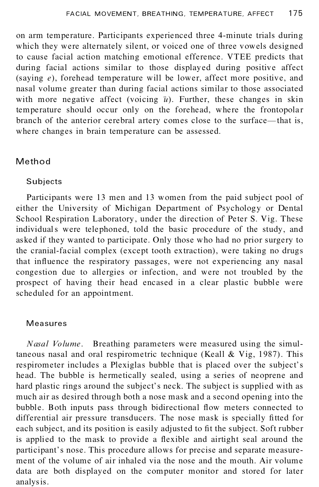on arm temperature. Participants experienced three 4-minute trials during which they were alternately silent, or voiced one of three vowels designed to cause facial action matching emotional efference. VTEE predicts that during facial actions similar to those displayed during positive affect (saying *e*), forehead temperature will be lower, affect more positive, and nasal volume greater than during facial actions similar to those associated with more negative affect (voicing  $\ddot{u}$ ). Further, these changes in skin temperature should occur only on the forehead, where the frontopolar branch of the anterior cerebral artery comes close to the surface—that is, where changes in brain temperature can be assessed.

# Method

### **Subjects**

Participants were 13 men and 13 women from the paid subject pool of either the University of Michigan Department of Psychology or Dental School Respiration Laboratory, under the direction of Peter S. Vig. These individuals were telephoned, told the basic procedure of the study, and asked if they wanted to participate. Only those who had no prior surgery to the cranial-facial complex (except tooth extraction), were taking no drugs that influence the respiratory passages, were not experiencing any nasal congestion due to allergies or infection, and were not troubled by the prospect of having their head encased in a clear plastic bubble were scheduled for an appointment.

#### Measures

*Nasal Volume*. Breathing parameters were measured using the simultaneous nasal and oral respirometric technique (Keall & Vig, 1987). This respirometer includes a Plexiglas bubble that is placed over the subject's head. The bubble is hermetically sealed, using a series of neoprene and hard plastic rings around the subject's neck. The subject is supplied with as much air as desired through both a nose mask and a second opening into the bubble. Both inputs pass through bidirectional flow meters connected to differential air pressure transducers. The nose mask is specially fitted for each subject, and its position is easily adjusted to fit the subject. Soft rubber is applied to the mask to provide a flexible and airtight seal around the participant's nose. This procedure allows for precise and separate measurement of the volume of air inhaled via the nose and the mouth. Air volume data are both displayed on the computer monitor and stored for later analysis.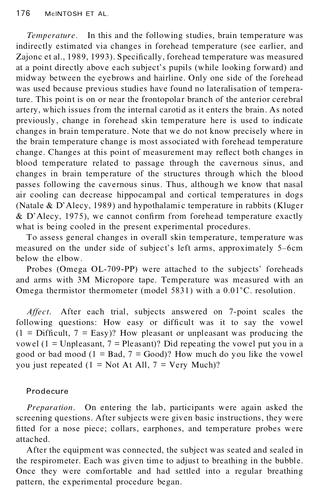*Temperature*. In this and the following studies, brain temperature was indirectly estimated via changes in forehead temperature (see earlier, and Zajonc et al., 1989, 1993). Specifically, forehead temperature was measured at a point directly above each subject's pupils (while looking forward) and midway between the eyebrows and hairline. Only one side of the forehead was used because previous studies have found no lateralisation of temperature. This point is on or near the frontopolar branch of the anterior cerebral artery, which issues from the internal carotid as it enters the brain. As noted previously, change in forehead skin temperature here is used to indicate changes in brain temperature. Note that we do not know precisely where in the brain temperature change is most associated with forehead temperature change. Changes at this point of measurement may reflect both changes in blood temperature related to passage through the cavernous sinus, and changes in brain temperature of the structures through which the blood passes following the cavernous sinus. Thus, although we know that nasal air cooling can decrease hippocampal and cortical temperatures in dogs (Natale & D'Alecy, 1989) and hypothalamic temperature in rabbits (Kluger  $&$  D'Alecy, 1975), we cannot confirm from forehead temperature exactly what is being cooled in the present experimental procedures.

To assess general changes in overall skin temperature, temperature was measured on the under side of subject's left arms, approximately 5-6cm below the elbow.

Probes (Omega OL-709-PP) were attached to the subjects' foreheads and arms with 3M Micropore tape. Temperature was measured with an Omega thermistor thermometer (model 5831) with a  $0.01^{\circ}$ C. resolution.

*Affect*. After each trial, subjects answered on 7-point scales the following questions: How easy or difficult was it to say the vowel  $(1 = \text{Difficult}, 7 = \text{Easy})$ ? How pleasant or unpleasant was producing the vowel ( $1 =$  Unpleasant,  $7 =$  Pleasant)? Did repeating the vowel put you in a good or bad mood  $(1 = Bad, 7 = Good)$ ? How much do you like the vowel you just repeated  $(1 = Not At All, 7 = Very Much)$ ?

## Prodecure

*Preparation*. On entering the lab, participants were again asked the screening questions. After subjects were given basic instructions, they were fitted for a nose piece; collars, earphones, and temperature probes were attached.

After the equipment was connected, the subject was seated and sealed in the respirometer. Each was given time to adjust to breathing in the bubble. Once they were comfortable and had settled into a regular breathing pattern, the experimental procedure began.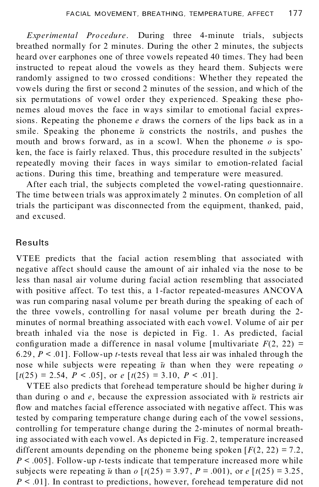*Experimental Procedure*. During three 4-minute trials, subjects breathed normally for 2 minutes. During the other 2 minutes, the subjects heard over earphones one of three vowels repeated 40 times. They had been instructed to repeat aloud the vowels as they heard them. Subjects were randomly assigned to two crossed conditions: Whether they repeated the vowels during the first or second 2 minutes of the session, and which of the six permutations of vowel order they experienced. Speaking these pho nemes aloud moves the face in ways similar to emotional facial expressions. Repeating the phoneme *e* draws the corners of the lips back as in a smile. Speaking the phoneme  $\ddot{u}$  constricts the nostrils, and pushes the mouth and brows forward, as in a scowl. When the phoneme *o* is spoken, the face is fairly relaxed. Thus, this procedure resulted in the subjects' repeatedly moving their faces in ways similar to emotion-related facial ac tions. During this time, breathing and temperature were measured.

After each trial, the subjects completed the vowel-rating questionnaire. The time between trials was approximately 2 minutes. On completion of all trials the participant was disconnected from the equipment, thanked, paid, and excused.

# Results

VTEE predicts that the facial action resembling that associated with negative affect should cause the amount of air inhaled via the nose to be less than nasal air volume during facial action resembling that associated with positive affect. To test this, a 1-factor repeated-measures ANCOVA was run comparing nasal volume per breath during the speaking of each of the three vowels, controlling for nasal volume per breath during the 2 minutes of normal breathing associated with each vowel. Volume of air per breath inhaled via the nose is depicted in Fig. 1. As predicted, facial configuration made a difference in nasal volume [multivariate  $F(2, 22) =$ 6.29 , *P* < .01]. Follow-up *t*-tests reveal that less air was inhaled through the nose while subjects were repeating  $\ddot{u}$  than when they were repeating  $\ddot{o}$  $[t(25) = 2.54, P < .05]$ , or  $e[t(25) = 3.10, P < .01]$ .

VTEE also predicts that forehead temperature should be higher during  $\ddot{u}$ than during o and  $e$ , because the expression associated with  $\ddot{u}$  restricts air flow and matches facial efference associated with negative affect. This was tested by comparing temperature change during each of the vowel sessions, controlling for temperature change during the 2-minutes of normal breathing associated with each vowel. As depicted in Fig. 2, temperature increased different amounts depending on the phoneme being spoken  $[F(2, 22) = 7.2]$ , *P* < .005]. Follow-up *t*-tests indicate that temperature increased more while subjects were repeating *u* than *o*  $[t(25) = 3.97, P = .001)$ , or *e*  $[t(25) = 3.25$ , *P* < .01]. In contrast to predictions, however, forehead temperature did not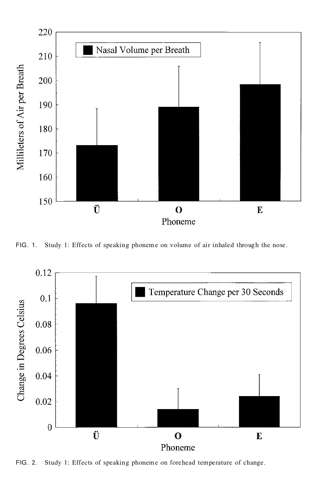

FIG. 1. Study 1: Effects of speaking phoneme on volume of air inhaled through the nose.



FIG . 2. Study 1: Effects of speaking phoneme on forehead temperature of change.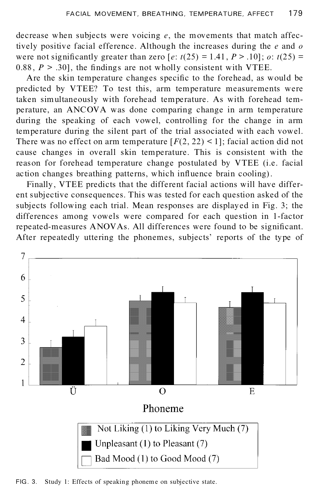decrease when subjects were voicing *e*, the movements that match affectively positive facial efference. Although the increases during the *e* and *o* were not significantly greater than zero  $[e: t(25) = 1.41, P > .10]$ ; *o*:  $t(25) =$ 0.88,  $P > .30$ , the findings are not wholly consistent with VTEE.

Are the skin temperature changes specific to the forehead, as would be predicted by VTEE? To test this, arm temperature measurements were taken simultaneously with forehead temperature. As with forehead tem perature, an ANCOVA was done comparing change in arm temperature during the speaking of each vowel, controlling for the change in arm temperature during the silent part of the trial associated with each vowel. There was no effect on arm temperature  $[F(2, 22) \le 1]$ ; facial action did not cause changes in overall skin temperature. This is consistent with the reason for forehead temperature change postulated by VTEE (i.e. facial action changes breathing patterns, which influence brain cooling).

Finally, VTEE predicts that the different facial actions will have differ ent subjective consequences. This was tested for each question asked of the subjects following each trial. Mean responses are displayed in Fig. 3; the differences among vowels were compared for each question in 1-factor repeated-measures ANOVAs. All differences were found to be significant. After repeatedly uttering the phonemes, subjects' reports of the type of



FIG. 3. Study 1: Effects of speaking phoneme on subjective state.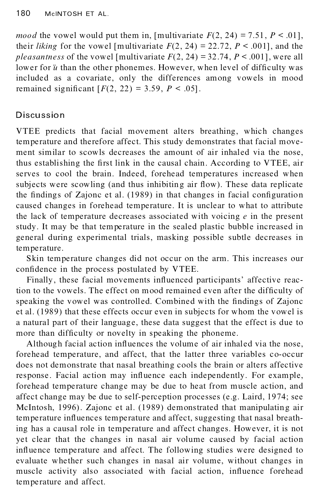*mood* the vowel would put them in, [multivariate  $F(2, 24) = 7.51$ ,  $P < .01$ ], their *liking* for the vowel [multivariate  $F(2, 24) = 22.72$ ,  $P \le 0.001$ ], and the *pleasantness* of the vowel [multivariate  $F(2, 24) = 32.74$ ,  $P < .001$ ], were all lower for  $\ddot{u}$  than the other phonemes. However, when level of difficulty was included as a covariate, only the differences among vowels in mood remained significant  $[F(2, 22) = 3.59, P < .05]$ .

# Discussion

VTEE predicts that facial movement alters breathing, which changes temperature and therefore affect. This study demonstrates that facial move ment similar to scowls decreases the amount of air inhaled via the nose, thus establishing the first link in the causal chain. According to VTEE, air serves to cool the brain. Indeed, forehead temperatures increased when subjects were scowling (and thus inhibiting air flow). These data replicate the findings of Zajonc et al. (1989) in that changes in facial configuration caused changes in forehead temperature. It is unclear to what to attribute the lack of temperature decreases associated with voicing *e* in the present study. It may be that temperature in the sealed plastic bubble increased in general during experimental trials, masking possible subtle decreases in temperature.

Skin temperature changes did not occur on the arm. This increases our confidence in the process postulated by VTEE.

Finally, these facial movements influenced participants' affective reaction to the vowels. The effect on mood remained even after the difficulty of speaking the vowel was controlled. Combined with the findings of Zajonc et al. (1989) that these effects occur even in subjects for whom the vowel is a natural part of their language, these data suggest that the effect is due to more than difficulty or novelty in speaking the phoneme.

Although facial action influences the volume of air inhaled via the nose, forehead temperature, and affect, that the latter three variables co-occur does not demonstrate that nasal breathing cools the brain or alters affective response. Facial action may influence each independently. For example, forehead temperature change may be due to heat from muscle action, and affect change may be due to self-perception processes (e.g. Laird, 1974; see McIntosh, 1996). Zajonc et al. (1989) demonstrated that manipulating air temperature influences temperature and affect, suggesting that nasal breathing has a causal role in temperature and affect changes. However, it is not yet clear that the changes in nasal air volume caused by facial action influence temperature and affect. The following studies were designed to evaluate whether such changes in nasal air volume, without changes in muscle activity also associated with facial action, influence forehead temperature and affect.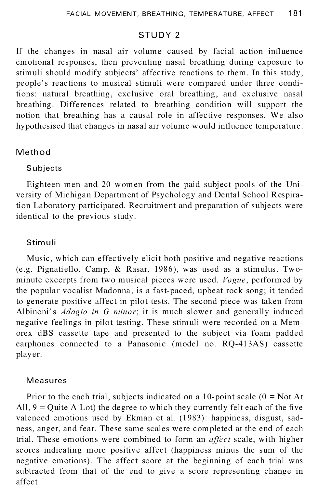### STUDY 2

If the changes in nasal air volume caused by facial action influence emotional responses, then preventing nasal breathing during exposure to stimuli should modify subjects' affective reactions to them. In this study, people's reactions to musical stimuli were compared under three conditions: natural breathing, exclusive oral breathing, and exclusive nasal breathing. Differences related to breathing condition will support the notion that breathing has a causal role in affective responses. We also hypothesised that changes in nasal air volume would influence temperature.

### Method

#### Subjects

Eighteen men and 20 women from the paid subject pools of the Uni versity of Michigan Department of Psychology and Dental School Respiration Laboratory participated. Recruitment and preparation of subjects were identical to the previous study.

#### Stimuli

Music, which can effectively elicit both positive and negative reactions (e.g. Pignatiello, Camp,  $\&$  Rasar, 1986), was used as a stimulus. Twominute excerpts from two musical pieces were used. *Vogue*, performed by the popular vocalist Madonna, is a fast-paced, upbeat rock song; it tended to generate positive affect in pilot tests. The second piece was taken from Albinoni' s *Adagio in G minor*; it is much slower and generally induced negative feelings in pilot testing. These stimuli were recorded on a Mem orex dBS cassette tape and presented to the subject via foam padded earphones connected to a Panasonic (model no. RQ-413AS) cassette play er.

#### Measures

Prior to the each trial, subjects indicated on a 10-point scale  $(0 = Not At)$ All,  $9 =$ Quite A Lot) the degree to which they currently felt each of the five valenced emotions used by Ekman et al. (1983): happiness, disgust, sadness, anger, and fear. These same scales were completed at the end of each trial. These emotions were combined to form an *affect* scale, with higher scores indicating more positive affect (happiness minus the sum of the negative emotions). The affect score at the beginning of each trial was subtracted from that of the end to give a score representing change in affect.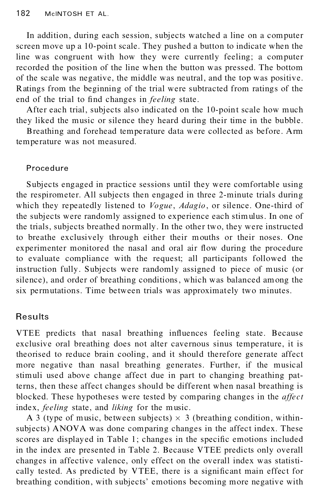In addition, during each session, subjects watched a line on a computer screen move up a 10-point scale. They pushed a button to indicate when the line was congruent with how they were currently feeling; a computer recorded the position of the line when the button was pressed. The bottom of the scale was negative, the middle was neutral, and the top was positive. Ratings from the beginning of the trial were subtracted from ratings of the end of the trial to find changes in *feeling* state.

After each trial, subjects also indicated on the 10-point scale how much they liked the music or silence they heard during their time in the bubble.

Breathing and forehead temperature data were collected as before. Arm temperature was not measured.

#### Procedure

Subjects engaged in practice sessions until they were comfortable using the respirometer. All subjects then engaged in three 2-minute trials during which they repeatedly listened to *Vogue*, *Adagio*, or silence. One-third of the subjects were randomly assigned to experience each stimulus. In one of the trials, subjects breathed normally. In the other two, they were instructed to breathe exclusively through either their mouths or their noses. One experimenter monitored the nasal and oral air flow during the procedure to evaluate compliance with the request; all participants followed the instruction fully. Subjects were randomly assigned to piece of music (or silence), and order of breathing conditions, which was balanced among the six permutations. Time between trials was approximately two minutes.

## **Results**

VTEE predicts that nasal breathing influences feeling state. Because exclusive oral breathing does not alter cavernous sinus temperature, it is theorised to reduce brain cooling, and it should therefore generate affect more negative than nasal breathing generates. Further, if the musical stimuli used above change affect due in part to changing breathing patterns, then these affect changes should be different when nasal breathing is blocked. These hypotheses were tested by comparing changes in the *affect* index, *feeling* state, and *liking* for the music.

A 3 (type of music, between subjects)  $\times$  3 (breathing condition, withinsubjects) ANOVA was done comparing changes in the affect index. These scores are displayed in Table 1; changes in the specific emotions included in the index are presented in Table 2. Because VTEE predicts only overall changes in affective valence, only effect on the overall index was statisti cally tested. As predicted by VTEE, there is a significant main effect for breathing condition, with subjects' emotions becoming more negative with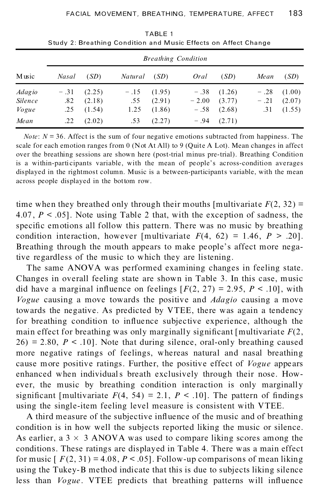|                | <b>Breathing Condition</b> |        |         |        |         |                 |        |           |  |  |
|----------------|----------------------------|--------|---------|--------|---------|-----------------|--------|-----------|--|--|
| Music          | <b>Nasal</b>               | (SD)   | Natural | (SD)   | Oral    | (SD)            | Mean   | (SD)      |  |  |
| <i>Adagio</i>  | $-.31$                     | (2.25) | $-.15$  | (1.95) | $-.38$  | (1.26)          | $-.28$ | (1.00)    |  |  |
| <b>Silence</b> | .82                        | (2.18) | .55     | (2.91) | $-2.00$ | (3.77)          | $-.21$ | (2.07)    |  |  |
| Vogue          | .25                        | (1.54) | 1.25    | (1.86) | $-.58$  | (2.68)          |        | .31(1.55) |  |  |
| Mean           | .22                        | (2.02) | .53     | (2.27) |         | $-.94$ $(2.71)$ |        |           |  |  |

TABLE 1 Study 2: Breathing Condition and Music Effects on Affect Change

*Note*:  $N = 36$ . Affect is the sum of four negative emotions subtracted from happiness. The scale for each emotion ranges from 0 (Not At All) to 9 (Quite A Lot). Mean changes in affect over the breathing sessions are shown here (post-trial minus pre-trial). Breathing Condition is a within-participants variable, with the mean of people's across-condition averages displayed in the rightmost column. Music is a between-participants variable, with the mean across people displayed in the bottom row.

time when they breathed only through their mouths [multivariate  $F(2, 32)$  = 4.07,  $P \le 0.05$ . Note using Table 2 that, with the exception of sadness, the specific emotions all follow this pattern. There was no music by breathing condition interaction, however [multivariate  $F(4, 62) = 1.46$ ,  $P > .20$ ]. Breathing through the mouth appears to make people's affect more negative regardless of the music to which they are listening.

The same ANOVA was performed examining changes in feeling state. Changes in overall feeling state are shown in Table 3. In this case, music did have a marginal influence on feelings  $[F(2, 27) = 2.95, P < .10]$ , with *Vogue* causing a move towards the positive and *Adagio* causing a move towards the negative. As predicted by VTEE, there was again a tendency for breathing condition to influence subjective experience, although the main effect for breathing was only marginally significant [multivariate  $F(2)$ ,  $26$ ) = 2.80,  $P < 10$ ]. Note that during silence, oral-only breathing caused more negative ratings of feelings, whereas natural and nasal breathing cause more positive ratings. Further, the positive effect of *Vogue* appears enhanced when individuals breath exclusively through their nose. How ever, the music by breathing condition interaction is only marginally significant [multivariate  $F(4, 54) = 2.1, P < .10$ ]. The pattern of findings using the single-item feeling level measure is consistent with VTEE.

A third measure of the subjective influence of the music and of breathing condition is in how well the subjects reported liking the music or silence. As earlier, a  $3 \times 3$  ANOVA was used to compare liking scores among the conditions. These ratings are displayed in Table 4. There was a main effect for music  $[ F(2, 31) = 4.08, P < .05]$ . Follow-up comparisons of mean liking using the Tukey-B method indicate that this is due to subjects liking silence less than *Vogue*. VTEE predicts that breathing patterns will influence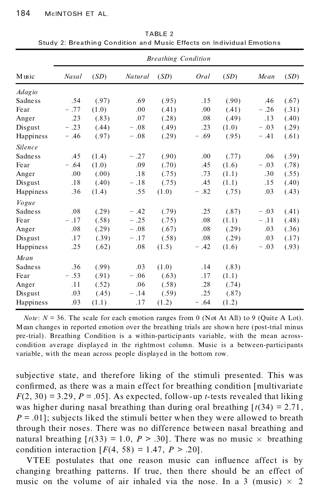|                | <b>Breathing Condition</b> |       |         |       |        |       |        |       |  |
|----------------|----------------------------|-------|---------|-------|--------|-------|--------|-------|--|
| Music          | Nasal                      | (SD)  | Natural | (SD)  | Oral   | (SD)  | Mean   | (SD)  |  |
| <b>Adagio</b>  |                            |       |         |       |        |       |        |       |  |
| <b>Sadness</b> | .54                        | (.97) | .69     | (.95) | .15    | (.90) | .46    | (.67) |  |
| Fear           | $-.77$                     | (1.0) | .00     | (.41) | .00    | (.41) | $-.26$ | (.31) |  |
| Anger          | .23                        | (.83) | .07     | (.28) | .08    | (.49) | .13    | (.40) |  |
| Disgust        | $-.23$                     | (.44) | $-.08$  | (.49) | .23    | (1.0) | $-.03$ | (.29) |  |
| Happiness      | $-.46$                     | (.97) | $-.08$  | (.29) | $-.69$ | (.95) | $-.41$ | (.61) |  |
| Silence        |                            |       |         |       |        |       |        |       |  |
| <b>Sadness</b> | .45                        | (1.4) | $-.27$  | (.90) | .00    | (.77) | .06    | (.59) |  |
| Fear           | $-.64$                     | (1.0) | .09     | (.70) | .45    | (1.6) | $-.03$ | (.78) |  |
| Anger          | .00                        | (.00) | .18     | (.75) | .73    | (1.1) | .30    | (.55) |  |
| Disgust        | .18                        | (.40) | $-.18$  | (.75) | .45    | (1.1) | .15    | (.40) |  |
| Happiness      | .36                        | (1.4) | .55     | (1.0) | $-.82$ | (.75) | .03    | (.43) |  |
| Vogue          |                            |       |         |       |        |       |        |       |  |
| <b>Sadness</b> | .08                        | (.29) | $-.42$  | (.79) | .25    | (.87) | $-.03$ | (.41) |  |
| Fear           | $-.17$                     | (.58) | $-.25$  | (.75) | .08    | (1.1) | $-.11$ | (.48) |  |
| Anger          | .08                        | (.29) | $-.08$  | (.67) | .08    | (.29) | .03    | (.36) |  |
| Disgust        | .17                        | (.39) | $-.17$  | (.58) | .08    | (.29) | .03    | (.17) |  |
| Happiness      | .25                        | (.62) | .08     | (1.5) | $-.42$ | (1.6) | $-.03$ | (.93) |  |
| Mean           |                            |       |         |       |        |       |        |       |  |
| <b>Sadness</b> | .36                        | (.99) | .03     | (1.0) | .14    | (.83) |        |       |  |
| Fear           | $-.53$                     | (.91) | $-.06$  | (.63) | .17    | (1.1) |        |       |  |
| Anger          | .11                        | (.52) | .06     | (.58) | .28    | (.74) |        |       |  |
| Disgust        | .03                        | (.45) | $-.14$  | (.59) | .25    | (.87) |        |       |  |
| Happiness      | .03                        | (1.1) | .17     | (1.2) | $-.64$ | (1.2) |        |       |  |

TABLE 2 Study 2: Breathing Condition and Music Effects on Individual Emotions

*Note*:  $N = 36$ . The scale for each emotion ranges from 0 (Not At All) to 9 (Quite A Lot). Mean changes in reported emotion over the breathing trials are shown here (post-trial minus pre-trial). Breathing Condition is a within-particip ants variable, with the mean across condition average displayed in the rightmost column. Music is a between-participants variable, with the mean across people displayed in the bottom row.

subjective state, and therefore liking of the stimuli presented. This was confirmed, as there was a main effect for breathing condition [multivariate]  $F(2, 30) = 3.29$ ,  $P = .05$ ]. As expected, follow-up *t*-tests revealed that liking was higher during nasal breathing than during oral breathing  $[t(34) = 2.71]$ ,  $P = .01$ ; subjects liked the stimuli better when they were allowed to breath through their noses. There was no difference between nasal breathing and natural breathing  $[t(33) = 1.0, P > .30]$ . There was no music  $\times$  breathing condition interaction  $[F(4, 58) = 1.47, P > .20]$ .

VTEE postulates that one reason music can influence affect is by changing breathing patterns. If true, then there should be an effect of music on the volume of air inhaled via the nose. In a 3 (music)  $\times$  2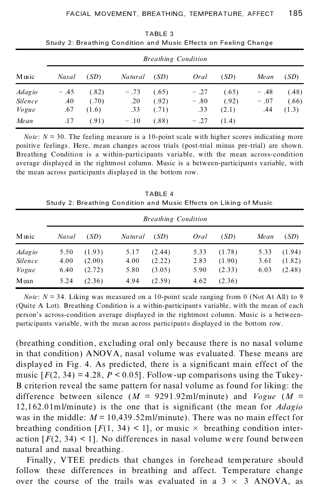|                                          | <b>Breathing Condition</b> |                         |                      |                         |                         |                         |                         |                         |  |  |
|------------------------------------------|----------------------------|-------------------------|----------------------|-------------------------|-------------------------|-------------------------|-------------------------|-------------------------|--|--|
| Music                                    | <b>Nasal</b>               | (SD)                    | Natural              | (SD)                    | Oral                    | (SD)                    | Mean                    | (SD)                    |  |  |
| <i>Adagio</i><br><b>Silence</b><br>Vogue | $-.45$<br>.40<br>.67       | (.82)<br>(.70)<br>(1.6) | $-.73$<br>.20<br>.33 | (.65)<br>(.92)<br>(.71) | $-.27$<br>$-.80$<br>.33 | (.65)<br>(.92)<br>(2.1) | $-.48$<br>$-.07$<br>.44 | (.48)<br>(.66)<br>(1.3) |  |  |
| Mean                                     | .17                        | (.91)                   | $-.10$               | (.88)                   | $-.27$                  | (1.4)                   |                         |                         |  |  |

TABLE 3 Study 2: Breathing Condition and Music Effects on Feeling Change

*Note*:  $N = 30$ . The feeling measure is a 10-point scale with higher scores indicating more positive feelings. Here, mean changes across trials (post-trial minus pre-trial) are shown. Breathing Condition is a within-participants variable, with the mean across-condition average displayed in the rightmost column. Music is a between-participants variable, with the mean across participants displayed in the bottom row.

TABLE 4 Study 2: Breathing Condition and Music Effects on Liking of Music

|                | <b>Breathing Condition</b> |        |         |        |      |        |      |        |  |
|----------------|----------------------------|--------|---------|--------|------|--------|------|--------|--|
| Music          | <b>Nasal</b>               | (SD)   | Natural | (SD)   | Oral | (SD)   | Mean | (SD)   |  |
| <i>Adagio</i>  | 5.50                       | (1.93) | 5.17    | (2.44) | 5.33 | (1.78) | 5.33 | (1.94) |  |
| <i>Silence</i> | 4.00                       | (2.00) | 4.00    | (2.22) | 2.83 | (1.90) | 3.61 | (1.82) |  |
| Vogue          | 6.40                       | (2.72) | 5.80    | (3.05) | 5.90 | (2.33) | 6.03 | (2.48) |  |
| Mean           | 5.24                       | (2.36) | 4.94    | (2.59) | 4.62 | (2.36) |      |        |  |

*Note*:  $N = 34$ . Liking was measured on a 10-point scale ranging from 0 (Not At All) to 9 (Quite A Lot). Breathing Condition is a within-participants variable, with the mean of each person's across-condition average displayed in the rightmost column. Music is a betweenparticipants variable, with the mean across participants displayed in the bottom row.

(breathing condition, excluding oral only because there is no nasal volume in that condition) ANOVA, nasal volume was evaluated. These means are displayed in Fig. 4. As predicted, there is a significant main effect of the music  $[F(2, 34) = 4.28, P < 0.05]$ . Follow-up comparisons using the Tukey-B criterion reveal the same pattern for nasal volume as found for liking: the difference between silence (*M* = 9291.92ml/minute) and *Vogue* (*M* = 12,162.01ml/minute) is the one that is significant (the mean for *Adagio* was in the middle:  $M = 10,439.52 \text{ mJ/minute}$ . There was no main effect for breathing condition  $[F(1, 34) < 1]$ , or music  $\times$  breathing condition interaction  $[F(2, 34) \le 1]$ . No differences in nasal volume were found between natural and nasal breathing.

Finally, VTEE predicts that changes in forehead temperature should follow these differences in breathing and affect. Temperature change over the course of the trails was evaluated in a  $3 \times 3$  ANOVA, as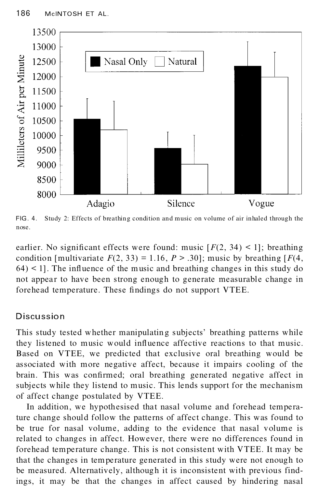

FIG . 4. Study 2: Effects of breathing condition and music on volume of air inhaled through the nose.

earlier. No significant effects were found: music  $[F(2, 34) \le 1]$ ; breathing condition [multivariate  $F(2, 33) = 1.16$ ,  $P > .30$ ]; music by breathing [ $F(4, 4)$ ]  $64$ ) < 1]. The influence of the music and breathing changes in this study do not appear to have been strong enough to generate measurable change in forehead temperature. These findings do not support VTEE.

## Discussion

This study tested whether manipulating subjects' breathing patterns while they listened to music would influence affective reactions to that music. Based on VTEE, we predicted that exclusive oral breathing would be associated with more negative affect, because it impairs cooling of the brain. This was confirmed; oral breathing generated negative affect in subjects while they listend to music. This lends support for the mechanism of affect change postulated by VTEE.

In addition, we hypothesised that nasal volume and forehead temperature change should follow the patterns of affect change. This was found to be true for nasal volume, adding to the evidence that nasal volume is related to changes in affect. However, there were no differences found in forehead temperature change. This is not consistent with VTEE. It may be that the changes in temperature generated in this study were not enough to be measured. Alternatively, although it is inconsistent with previous findings, it may be that the changes in affect caused by hindering nasal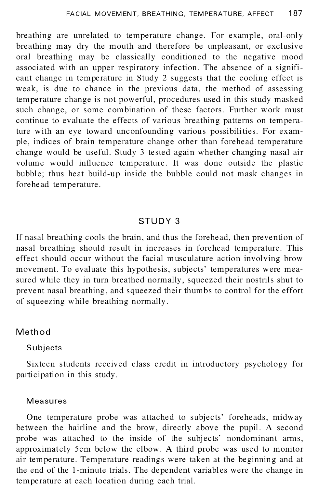breathing are unrelated to temperature change. For example, oral-only breathing may dry the mouth and therefore be unpleasant, or exclusive oral breathing may be classically conditioned to the negative mood associated with an upper respiratory infection. The absence of a significant change in temperature in Study 2 suggests that the cooling effect is weak, is due to chance in the previous data, the method of assessing temperature change is not powerful, procedures used in this study masked such change, or some combination of these factors. Further work must continue to evaluate the effects of various breathing patterns on temperature with an eye toward unconfounding various possibilities. For exam ple, indices of brain temperature change other than forehead temperature change would be useful. Study 3 tested again whether changing nasal air volume would influence temperature. It was done outside the plastic bubble; thus heat build-up inside the bubble could not mask changes in forehead temperature.

#### STUDY 3

If nasal breathing cools the brain, and thus the forehead, then prevention of nasal breathing should result in increases in forehead temperature. This effect should occur without the facial musculature action involving brow movement. To evaluate this hypothesis, subjects' temperatures were measured while they in turn breathed normally, squeezed their nostrils shut to prevent nasal breathing, and squeezed their thumbs to control for the effort of squeezing while breathing normally.

### Method

#### Subjects

Sixteen students received class credit in introductory psychology for participation in this study.

#### Measures

One temperature probe was attached to subjects' foreheads, midway between the hairline and the brow, directly above the pupil. A second probe was attached to the inside of the subjects' nondominant arms, approximately 5cm below the elbow. A third probe was used to monitor air temperature. Temperature readings were taken at the beginning and at the end of the 1-minute trials. The dependent variables were the change in temperature at each location during each trial.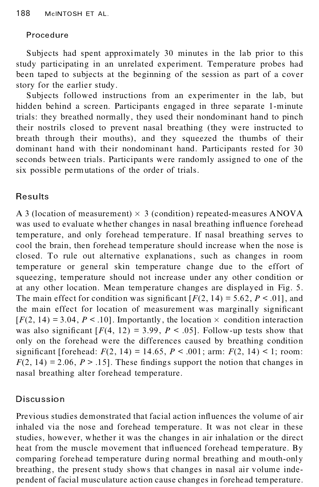## Procedure

Subjects had spent approximately 30 minutes in the lab prior to this study participating in an unrelated experiment. Temperature probes had been taped to subjects at the beginning of the session as part of a cover story for the earlier study.

Subjects followed instructions from an experimenter in the lab, but hidden behind a screen. Participants engaged in three separate 1-minute trials: they breathed normally, they used their nondominant hand to pinch their nostrils closed to prevent nasal breathing (they were instructed to breath through their mouths), and they squeezed the thumbs of their dominant hand with their nondominant hand. Participants rested for 30 seconds between trials. Participants were randomly assigned to one of the six possible permutations of the order of trials.

# **Results**

A 3 (location of measurement)  $\times$  3 (condition) repeated-measures ANOVA was used to evaluate whether changes in nasal breathing influence forehead temperature, and only forehead temperature. If nasal breathing serves to cool the brain, then forehead temperature should increase when the nose is closed. To rule out alternative explanations, such as changes in room temperature or general skin temperature change due to the effort of squeezing, temperature should not increase under any other condition or at any other location. Mean temperature changes are displayed in Fig. 5. The main effect for condition was significant  $[F(2, 14) = 5.62, P < .01]$ , and the main effect for location of measurement was marginally significant  $[F(2, 14) = 3.04, P < .10]$ . Importantly, the location  $\times$  condition interaction was also significant  $[F(4, 12) = 3.99, P \lt .05]$ . Follow-up tests show that only on the forehead were the differences caused by breathing condition significant [forehead:  $F(2, 14) = 14.65$ ,  $P < .001$ ; arm:  $F(2, 14) < 1$ ; room:  $F(2, 14) = 2.06$ ,  $P > .15$ . These findings support the notion that changes in nasal breathing alter forehead temperature.

# Discussion

Previous studies demonstrated that facial action influences the volume of air inhaled via the nose and forehead temperature. It was not clear in these studies, however, whether it was the changes in air inhalation or the direct heat from the muscle movement that influenced forehead temperature. By comparing forehead temperature during normal breathing and mouth-only breathing, the present study shows that changes in nasal air volume inde pendent of facial musculature action cause changes in forehead temperature.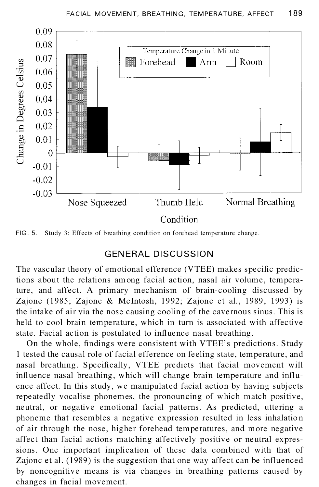

FIG. 5. Study 3: Effects of breathing condition on forehead temperature change.

### GENERAL DISCUSSION

The vascular theory of emotional efference (VTEE) makes specific predictions about the relations among facial action, nasal air volume, temperature, and affect. A primary mechanism of brain-cooling discussed by Zajonc (1985; Zajonc & McIntosh, 1992; Zajonc et al., 1989, 1993) is the intake of air via the nose causing cooling of the cavernous sinus. This is held to cool brain temperature, which in turn is associated with affective state. Facial action is postulated to influence nasal breathing.

On the whole, findings were consistent with VTEE's predictions. Study 1 tested the causal role of facial efference on feeling state, temperature, and nasal breathing. Specifically, VTEE predicts that facial movement will influence nasal breathing, which will change brain temperature and influence affect. In this study, we manipulated facial action by having subjects repeatedly vocalise phonemes, the pronouncing of which match positive, neutral, or negative emotional facial patterns. As predicted, uttering a phoneme that resembles a negative expression resulted in less inhalation of air through the nose, higher forehead temperatures, and more negative affect than facial actions matching affectively positive or neutral expressions. One important implication of these data combined with that of Zajonc et al. (1989) is the suggestion that one way affect can be influenced by noncognitive means is via changes in breathing patterns caused by changes in facial movement.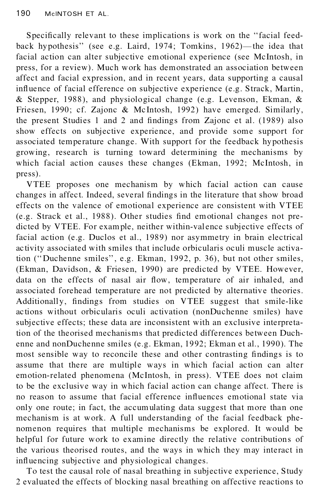Specifically relevant to these implications is work on the "facial feedback hypothesis" (see e.g. Laird, 1974; Tomkins, 1962)—the idea that facial action can alter subjective emotional experience (see McIntosh, in press, for a review). Much work has demonstrated an association between affect and facial expression, and in recent years, data supporting a causal influence of facial efference on subjective experience (e.g. Strack, Martin, & Stepper, 1988), and physiological change (e.g. Levenson, Ekman, & Friesen, 1990; cf. Zajonc & Mc Intosh, 1992) have emerged. Similarly, the present Studies 1 and 2 and findings from Zajonc et al. (1989) also show effects on subjective experience, and provide some support for associated temperature change. With support for the feedback hypothesis growing, research is turning toward determining the mechanisms by which facial action causes these changes (Ekman, 1992; McIntosh, in press).

VTEE proposes one mechanism by which facial action can cause changes in affect. Indeed, several findings in the literature that show broad effects on the valence of emotional experience are consistent with VTEE (e.g. Strack et al., 1988). Other studies find emotional changes not predicted by VTEE. For example, neither within-val ence subjective effects of facial action (e.g. Duclos et al., 1989) nor asymmetry in brain electrical ac tivity associated with smiles that include orbicularis oculi muscle activation ("Duchenne smiles", e.g. Ekman, 1992, p. 36), but not other smiles, (Ekman, Davidson, & Friesen, 1990) are predicted by VTEE. However, data on the effects of nasal air flow, temperature of air inhaled, and associated forehead temperature are not predicted by alternative theories. Additionally, findings from studies on VTEE suggest that smile-like ac tions without orbicularis oculi activation (nonDuchenne smiles) have subjective effects; these data are inconsistent with an exclusive interpretation of the theorised mechanisms that predicted differences between Duchenne and nonDuchenne smiles (e.g. Ekman, 1992; Ekman et al., 1990). The most sensible way to reconcile these and other contrasting findings is to assume that there are multiple ways in which facial action can alter emotion-related phenomena (McIntosh, in press). VTEE does not claim to be the exclusive way in which facial action can change affect. There is no reason to assume that facial efference influences emotional state via only one route; in fact, the accumulating data suggest that more than one mechanism is at work. A full understanding of the facial feedback phe nomenon requires that multiple mechanisms be explored. It would be helpful for future work to examine directly the relative contributions of the various theorised routes, and the ways in which they may interact in influencing subjective and physiological changes.

To test the causal role of nasal breathing in subjective experience, Study 2 evaluated the effects of blocking nasal breathing on affective reactions to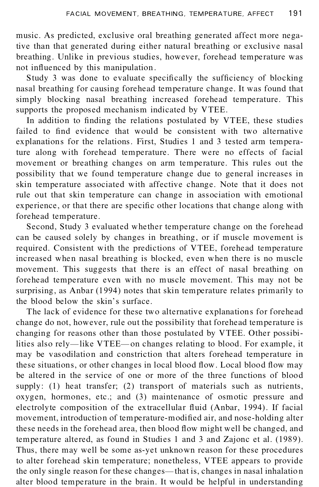music. As predicted, exclusive oral breathing generated affect more negative than that generated during either natural breathing or exclusive nasal breathing. Unlike in previous studies, however, forehead temperature was not influenced by this manipulation.

Study 3 was done to evaluate specifically the sufficiency of blocking nasal breathing for causing forehead temperature change. It was found that simply blocking nasal breathing increased forehead temperature. This supports the proposed mechanism indicated by VTEE.

In addition to finding the relations postulated by VTEE, these studies failed to find evidence that would be consistent with two alternative explanations for the relations. First, Studies 1 and 3 tested arm temperature along with forehead temperature. There were no effects of facial movement or breathing changes on arm temperature. This rules out the possibility that we found temperature change due to general increases in skin temperature associated with affective change. Note that it does not rule out that skin temperature can change in association with emotional experience, or that there are specific other locations that change along with forehead temperature.

Second, Study 3 evaluated whether temperature change on the forehead can be caused solely by changes in breathing, or if muscle movement is required. Consistent with the predictions of VTEE, forehead temperature increased when nasal breathing is blocked, even when there is no muscle movement. This suggests that there is an effect of nasal breathing on forehead temperature even with no muscle movement. This may not be surprising, as Anbar (1994) notes that skin temperature relates primarily to the blood below the skin's surface.

The lack of evidence for these two alternative explanations for forehead change do not, however, rule out the possibility that forehead temperature is changing for reasons other than those postulated by VTEE. Other possibilities also rely—like VTEE—on changes relating to blood. For example, it may be vasodilation and constriction that alters forehead temperature in these situations, or other changes in local blood flow. Local blood flow may be altered in the service of one or more of the three functions of blood supply: (1) heat transfer; (2) transport of materials such as nutrients, oxygen, hormones, etc.; and (3) maintenance of osmotic pressure and electrolyte composition of the extracellular fluid (Anbar, 1994). If facial movement, introduction of temperature-modified air, and nose-holding alter these needs in the forehead area, then blood flow might well be changed, and temperature altered, as found in Studies 1 and 3 and Zajonc et al. (1989). Thus, there may well be some as-yet unknown reason for these procedures to alter forehead skin temperature; nonetheless, VTEE appears to provide the only single reason for these changes—that is, changes in nasal inhalation alter blood temperature in the brain. It would be helpful in understanding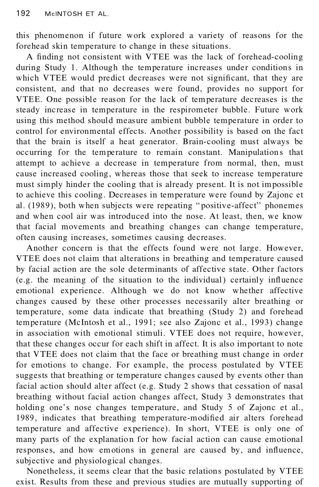this phenomenon if future work explored a variety of reasons for the forehead skin temperature to change in these situations.

A finding not consistent with VTEE was the lack of forehead-cooling during Study 1. Although the temperature increases under conditions in which VTEE would predict decreases were not significant, that they are consistent, and that no decreases were found, provides no support for VTEE. One possible reason for the lack of temperature decreases is the steady increase in temperature in the respirometer bubble. Future work using this method should measure ambient bubble temperature in order to control for environmental effects. Another possibility is based on the fact that the brain is itself a heat generator. Brain-cooling must always be occurring for the temperature to remain constant. Manipulations that attempt to achieve a decrease in temperature from normal, then, must cause increased cooling, whereas those that seek to increase temperature must simply hinder the cooling that is already present. It is not impossible to achieve this cooling. Decreases in temperature were found by Zajonc et al. (1989), both when subjects were repeating "positive-affect" phonemes and when cool air was introduced into the nose. At least, then, we know that facial movements and breathing changes can change temperature, often causing increases, sometimes causing decreases.

Another concern is that the effects found were not large. However, VTEE does not claim that alterations in breathing and temperature caused by facial action are the sole determinants of affective state. Other factors  $(e.g.$  the meaning of the situation to the individual) certainly influence emotional experience. Although we do not know whether affective changes caused by these other processes necessarily alter breathing or temperature, some data indicate that breathing (Study 2) and forehead temperature (McIntosh et al., 1991; see also Zajonc et al., 1993) change in association with emotional stimuli. VTEE does not require, however, that these changes occur for each shift in affect. It is also important to note that VTEE does not claim that the face or breathing must change in order for emotions to change. For example, the process postulated by VTEE suggests that breathing or temperature changes caused by events other than facial action should alter affect (e.g. Study 2 shows that cessation of nasal breathing without facial action changes affect, Study 3 demonstrates that holding one's nose changes temperature, and Study 5 of Zajonc et al., 1989, indicates that breathing temperature-modified air alters forehead temperature and affective experience). In short, VTEE is only one of many parts of the explanation for how facial action can cause emotional responses, and how emotions in general are caused by, and influence, subjective and physiological changes.

Nonetheless, it seems clear that the basic relations postulated by VTEE exist. Results from these and previous studies are mutually supporting of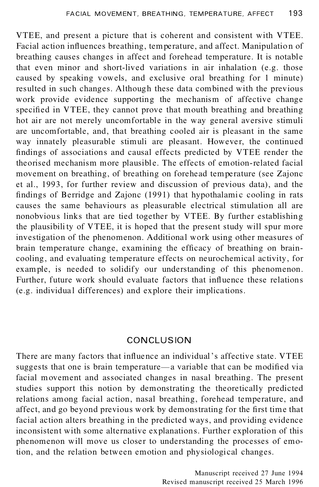VTEE, and present a picture that is coherent and consistent with VTEE. Facial action influences breathing, temperature, and affect. Manipulation of breathing causes changes in affect and forehead temperature. It is notable that even minor and short-lived variations in air inhalation (e.g. those caused by speaking vowels, and exclusive oral breathing for 1 minute) resulted in such changes. Although these data combined with the previous work provide evidence supporting the mechanism of affective change specified in VTEE, they cannot prove that mouth breathing and breathing hot air are not merely uncomfortable in the way general aversive stimuli are uncomfortable, and, that breathing cooled air is pleasant in the same way innately pleasurable stimuli are pleasant. However, the continued findings of associations and causal effects predicted by VTEE render the theorised mechanism more plausible. The effects of emotion-related facial movement on breathing, of breathing on forehead temperature (see Zajonc et al., 1993, for further review and discussion of previous data), and the findings of Berridge and Zajonc (1991) that hypothalamic cooling in rats causes the same behaviours as pleasurable electrical stimulation all are nonobvious links that are tied together by VTEE. By further establishing the plausibility of VTEE, it is hoped that the present study will spur more investigation of the phenomenon. Additional work using other measures of brain temperature change, examining the efficacy of breathing on braincooling, and evaluating temperature effects on neurochemical activity, for example, is needed to solidify our understanding of this phenomenon. Further, future work should evaluate factors that influence these relations (e.g. individual differences) and explore their implications.

# **CONCLUSION**

There are many factors that influence an individual's affective state. VTEE suggests that one is brain temperature—a variable that can be modified via facial movement and associated changes in nasal breathing. The present studies support this notion by demonstrating the theoretically predicted relations among facial action, nasal breathing, forehead temperature, and affect, and go beyond previous work by demonstrating for the first time that facial action alters breathing in the predicted ways, and providing evidence inconsistent with some alternative explanations. Further exploration of this phenomenon will move us closer to understanding the processes of emotion, and the relation between emotion and physiological changes.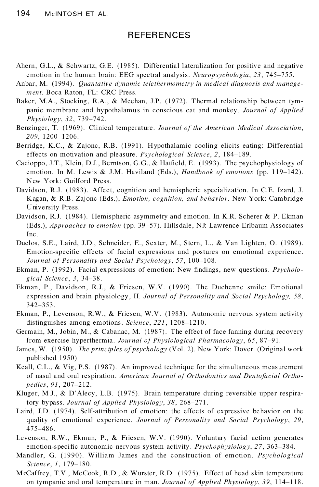### **REFERENCES**

- Ahern, G.L., & Schwartz, G.E. (1985). Differential lateralization for positive and negative emotion in the human brain: EEG spectral analysis. *Neuropsychologia*, 23, 745–755.
- Anbar, M. (1994). *Quantative dynamic telethermometry in medical diagnosis and manage ment*. Boca Raton, FL: CRC Press.
- Baker, M.A., Stocking, R.A., & Meehan, J.P. (1972). Thermal relationship between tympanic membrane and hypothalamus in conscious cat and monkey. *Journal of Applied Physiology*, *32*, 739±742.
- Benzinger, T. (1969). Clinical temperature. *Journal of the American Medical Association*, 209, 1200-1206.
- Berridge, K.C., & Zajonc, R.B. (1991). Hypothalamic cooling elicits eating: Differential effects on motivation and pleasure. *Psychological Science*, 2, 184–189.
- Cacioppo, J.T., Klein, D.J., Berntson, G.G., & Hatfield, E. (1993). The psychophysiology of emotion. In M. Lewis & J.M. Haviland (Eds.), *Handbook of emotions* (pp. 119–142). New York: Guilford Press.
- Davidson, R.J. (1983). Affect, cognition and hemispheric specialization. In C.E. Izard, J. Kagan, & R.B. Zajonc (Eds.), *Emotion, cognition, and behavior*. New York: Cambridge University Press.
- Davidson, R.J. (1984). Hemispheric asymmetry and emotion. In K.R. Scherer & P. Ekman (Eds.), *Approaches to emotion* (pp. 39–57). Hillsdale, NJ: Lawrence Erlbaum Associates Inc.
- Duclos, S.E., Laird, J.D., Schneider, E., Sexter, M., Stern, L., & Van Lighten, O. (1989). Emotion-specific effects of facial expressions and postures on emotional experience. *Journal of Personality and Social Psychology, 57, 100-108.*
- Ekman, P. (1992). Facial expressions of emotion: New findings, new questions. *Psychological Science*, *3*, 34±38.
- Ekman, P., Davidson, R.J., & Friesen, W.V. (1990). The Duchenne smile: Emotional expression and brain physiology, II. *Journal of Personality and Social Psychology, 58*, 342±353.
- Ekman, P., Levenson, R.W., & Friesen, W.V. (1983). Autonomic nervous system activity distinguishes among emotions. *Science*, 221, 1208-1210.
- Germain, M., Jobin, M., & Cabanac, M. (1987). The effect of face fanning during recovery from exercise hyperthermia. *Journal of Physiological Pharmacology*, *65*, 87±91.
- James, W. (1950). *The principles of psychology* (Vol. 2). New York: Dover. (Original work published 1950)
- Keall, C.L., & Vig, P.S. (1987). An improved technique for the simultaneous measurement of nasal and oral respiration. *American Journal of Orthodontics and Dentofacial Ortho pedics*, 91, 207-212.
- Kluger, M.J., & D' Alecy, L.B. (1975). Brain temperature during reversible upper respiratory bypass. *Journal of Applied Physiology*, 38, 268-271.
- Laird, J.D. (1974). Self-attribution of emotion: the effects of expressive behavior on the quality of emotional experience. *Journal of Personality and Social Psychology*, *29*, 475±486.
- Levenson, R.W., Ekman, P., & Friesen, W.V. (1990). Voluntary facial action generates emotion-specific autonomic nervous system activity. *Psychophysiology*, 27, 363-384.
- Mandler, G. (1990). William James and the construction of emotion. *Psychological Science*, *1*, 179-180.
- McCaffrey, T.V., McCook, R.D., & Wurster, R.D. (1975). Effect of head skin temperature on tympanic and oral temperature in man. *Journal of Applied Physiology*, 39, 114-118.